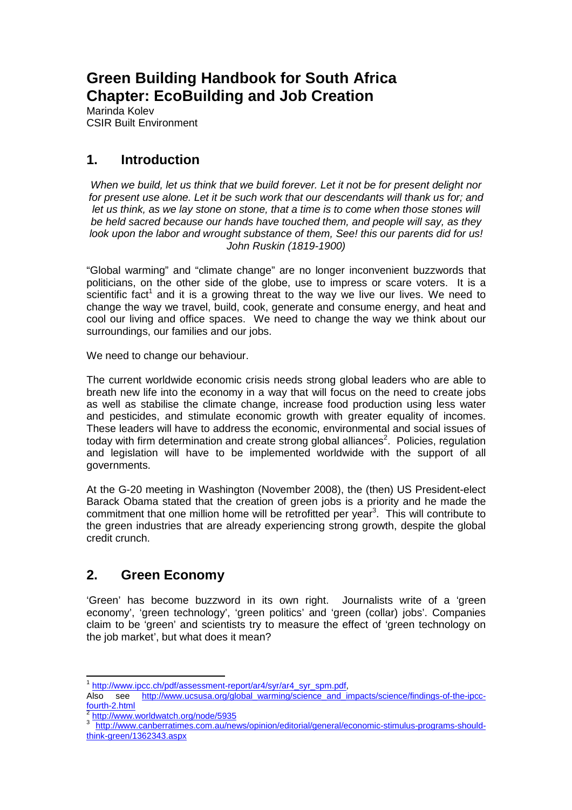# **Green Building Handbook for South Africa Chapter: EcoBuilding and Job Creation**

Marinda Kolev CSIR Built Environment

## **1. Introduction**

When we build, let us think that we build forever. Let it not be for present delight nor for present use alone. Let it be such work that our descendants will thank us for; and let us think, as we lay stone on stone, that a time is to come when those stones will be held sacred because our hands have touched them, and people will say, as they look upon the labor and wrought substance of them, See! this our parents did for us! John Ruskin (1819-1900)

"Global warming" and "climate change" are no longer inconvenient buzzwords that politicians, on the other side of the globe, use to impress or scare voters. It is a scientific fact<sup>1</sup> and it is a growing threat to the way we live our lives. We need to change the way we travel, build, cook, generate and consume energy, and heat and cool our living and office spaces. We need to change the way we think about our surroundings, our families and our jobs.

We need to change our behaviour.

The current worldwide economic crisis needs strong global leaders who are able to breath new life into the economy in a way that will focus on the need to create jobs as well as stabilise the climate change, increase food production using less water and pesticides, and stimulate economic growth with greater equality of incomes. These leaders will have to address the economic, environmental and social issues of today with firm determination and create strong global alliances<sup>2</sup>. Policies, regulation and legislation will have to be implemented worldwide with the support of all governments.

At the G-20 meeting in Washington (November 2008), the (then) US President-elect Barack Obama stated that the creation of green jobs is a priority and he made the commitment that one million home will be retrofitted per year<sup>3</sup>. This will contribute to the green industries that are already experiencing strong growth, despite the global credit crunch.

## **2. Green Economy**

'Green' has become buzzword in its own right. Journalists write of a 'green economy', 'green technology', 'green politics' and 'green (collar) jobs'. Companies claim to be 'green' and scientists try to measure the effect of 'green technology on the job market', but what does it mean?

 1 http://www.ipcc.ch/pdf/assessment-report/ar4/syr/ar4\_syr\_spm.pdf,

Also see http://www.ucsusa.org/global\_warming/science\_and\_impacts/science/findings-of-the-ipccfourth-2.html

<sup>2</sup> http://www.worldwatch.org/node/5935

<sup>3</sup> http://www.canberratimes.com.au/news/opinion/editorial/general/economic-stimulus-programs-shouldthink-green/1362343.aspx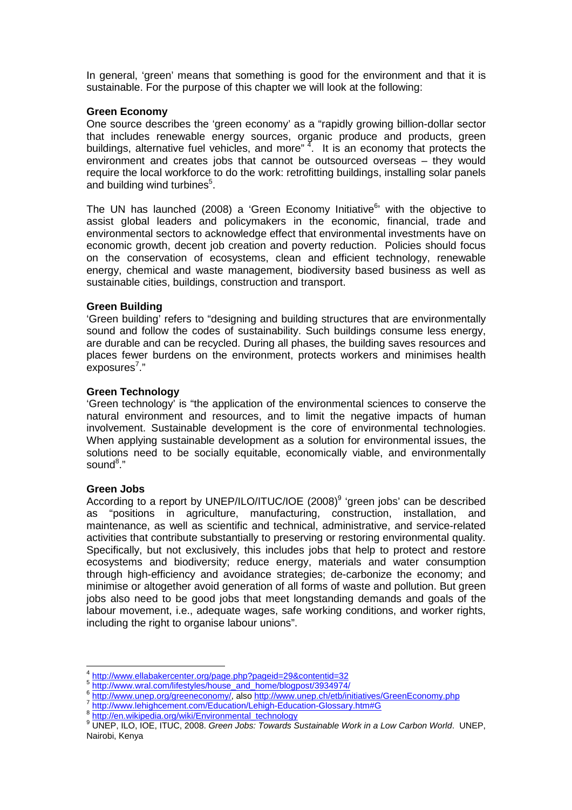In general, 'green' means that something is good for the environment and that it is sustainable. For the purpose of this chapter we will look at the following:

#### **Green Economy**

One source describes the 'green economy' as a "rapidly growing billion-dollar sector that includes renewable energy sources, organic produce and products, green buildings, alternative fuel vehicles, and more" $4$ . It is an economy that protects the environment and creates jobs that cannot be outsourced overseas – they would require the local workforce to do the work: retrofitting buildings, installing solar panels and building wind turbines<sup>5</sup>.

The UN has launched (2008) a 'Green Economy Initiative $<sup>6</sup>$  with the objective to</sup> assist global leaders and policymakers in the economic, financial, trade and environmental sectors to acknowledge effect that environmental investments have on economic growth, decent job creation and poverty reduction. Policies should focus on the conservation of ecosystems, clean and efficient technology, renewable energy, chemical and waste management, biodiversity based business as well as sustainable cities, buildings, construction and transport.

#### **Green Building**

'Green building' refers to "designing and building structures that are environmentally sound and follow the codes of sustainability. Such buildings consume less energy, are durable and can be recycled. During all phases, the building saves resources and places fewer burdens on the environment, protects workers and minimises health exposures<sup>7</sup>."

#### **Green Technology**

'Green technology' is "the application of the environmental sciences to conserve the natural environment and resources, and to limit the negative impacts of human involvement. Sustainable development is the core of environmental technologies. When applying sustainable development as a solution for environmental issues, the solutions need to be socially equitable, economically viable, and environmentally sound<sup>8</sup>."

#### **Green Jobs**

According to a report by UNEP/ILO/ITUC/IOE (2008)<sup>9</sup> 'green jobs' can be described as "positions in agriculture, manufacturing, construction, installation, and maintenance, as well as scientific and technical, administrative, and service-related activities that contribute substantially to preserving or restoring environmental quality. Specifically, but not exclusively, this includes jobs that help to protect and restore ecosystems and biodiversity; reduce energy, materials and water consumption through high-efficiency and avoidance strategies; de-carbonize the economy; and minimise or altogether avoid generation of all forms of waste and pollution. But green jobs also need to be good jobs that meet longstanding demands and goals of the labour movement, i.e., adequate wages, safe working conditions, and worker rights, including the right to organise labour unions".

<sup>4</sup> http://www.ellabakercenter.org/page.php?pageid=29&contentid=32

<sup>5</sup> http://www.wral.com/lifestyles/house\_and\_home/blogpost/3934974/

<sup>6</sup> http://www.unep.org/greeneconomy/, also http://www.unep.ch/etb/initiatives/GreenEconomy.php<br>7 http://www.lebisbecasest.com/Education/Lebisb Education Cleeseau.htm#C

http://www.lehighcement.com/Education/Lehigh-Education-Glossary.htm#G

<sup>8</sup> http://en.wikipedia.org/wiki/Environmental\_technology

<sup>&</sup>lt;sup>9</sup> UNEP, ILO, IOE, ITUC, 2008. Green Jobs: Towards Sustainable Work in a Low Carbon World. UNEP, Nairobi, Kenya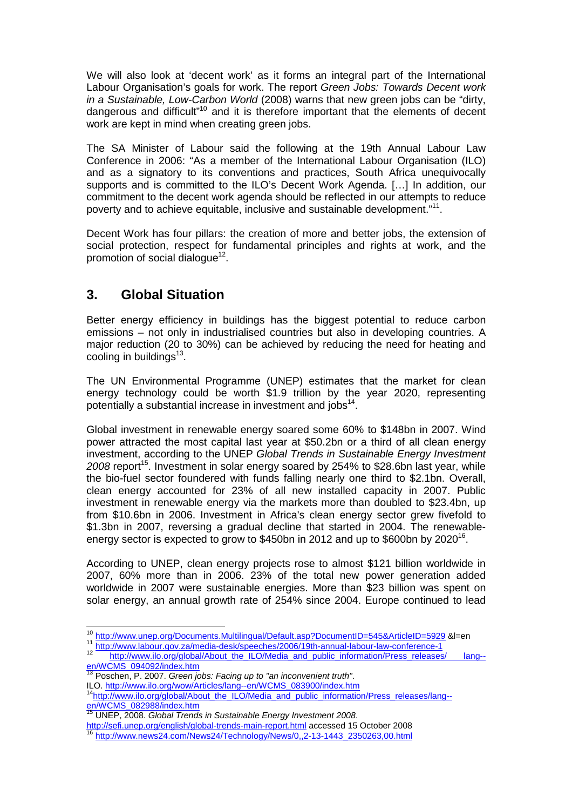We will also look at 'decent work' as it forms an integral part of the International Labour Organisation's goals for work. The report Green Jobs: Towards Decent work in a Sustainable, Low-Carbon World (2008) warns that new green jobs can be "dirty, dangerous and difficult"<sup>10</sup> and it is therefore important that the elements of decent work are kept in mind when creating green jobs.

The SA Minister of Labour said the following at the 19th Annual Labour Law Conference in 2006: "As a member of the International Labour Organisation (ILO) and as a signatory to its conventions and practices, South Africa unequivocally supports and is committed to the ILO's Decent Work Agenda. […] In addition, our commitment to the decent work agenda should be reflected in our attempts to reduce poverty and to achieve equitable, inclusive and sustainable development."<sup>11</sup>.

Decent Work has four pillars: the creation of more and better jobs, the extension of social protection, respect for fundamental principles and rights at work, and the promotion of social dialogue<sup>12</sup>.

### **3. Global Situation**

Better energy efficiency in buildings has the biggest potential to reduce carbon emissions – not only in industrialised countries but also in developing countries. A major reduction (20 to 30%) can be achieved by reducing the need for heating and cooling in buildings<sup>13</sup>.

The UN Environmental Programme (UNEP) estimates that the market for clean energy technology could be worth \$1.9 trillion by the year 2020, representing potentially a substantial increase in investment and jobs<sup>14</sup>.

Global investment in renewable energy soared some 60% to \$148bn in 2007. Wind power attracted the most capital last year at \$50.2bn or a third of all clean energy investment, according to the UNEP Global Trends in Sustainable Energy Investment  $2008$  report<sup>15</sup>. Investment in solar energy soared by 254% to \$28.6bn last year, while the bio-fuel sector foundered with funds falling nearly one third to \$2.1bn. Overall, clean energy accounted for 23% of all new installed capacity in 2007. Public investment in renewable energy via the markets more than doubled to \$23.4bn, up from \$10.6bn in 2006. Investment in Africa's clean energy sector grew fivefold to \$1.3bn in 2007, reversing a gradual decline that started in 2004. The renewableenergy sector is expected to grow to \$450bn in 2012 and up to \$600bn by 2020<sup>16</sup>.

According to UNEP, clean energy projects rose to almost \$121 billion worldwide in 2007, 60% more than in 2006. 23% of the total new power generation added worldwide in 2007 were sustainable energies. More than \$23 billion was spent on solar energy, an annual growth rate of 254% since 2004. Europe continued to lead

 $13$  Poschen, P. 2007. Green jobs: Facing up to "an inconvenient truth". ILO. http://www.ilo.org/wow/Articles/lang--en/WCMS\_083900/index.htm

14http://www.ilo.org/global/About\_the\_ILO/Media\_and\_public\_information/Press\_releases/lang-en/WCMS\_082988/index.htm

 $15$  UNEP, 2008. Global Trends in Sustainable Energy Investment 2008.

http://sefi.unep.org/english/global-trends-main-report.html accessed 15 October 2008 <sup>16</sup> http://www.news24.com/News24/Technology/News/0,,2-13-1443\_2350263,00.html

 $\overline{a}$ <sup>10</sup> http://www.unep.org/Documents.Multilingual/Default.asp?DocumentID=545&ArticleID=5929 &l=en

<sup>11</sup> http://www.labour.gov.za/media-desk/speeches/2006/19th-annual-labour-law-conference-1

http://www.ilo.org/global/About\_the\_ILO/Media\_and\_public\_information/Press\_releases/ lang-en/WCMS\_094092/index.htm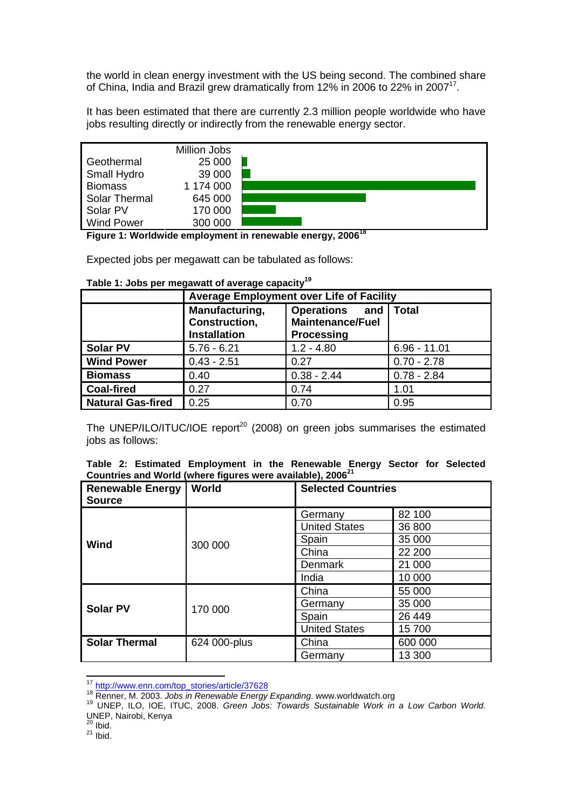the world in clean energy investment with the US being second. The combined share of China, India and Brazil grew dramatically from 12% in 2006 to 22% in 2007 $17$ .

It has been estimated that there are currently 2.3 million people worldwide who have jobs resulting directly or indirectly from the renewable energy sector.



**Figure 1: Worldwide employment in renewable energy, 2006<sup>18</sup>** 

Expected jobs per megawatt can be tabulated as follows:

#### **Table 1: Jobs per megawatt of average capacity<sup>19</sup>**

|                          | Average Employment over Life of Facility               |                                                                |                |  |
|--------------------------|--------------------------------------------------------|----------------------------------------------------------------|----------------|--|
|                          | Manufacturing,<br>Construction,<br><b>Installation</b> | Operations and<br><b>Maintenance/Fuel</b><br><b>Processing</b> | <b>Total</b>   |  |
| <b>Solar PV</b>          | $5.76 - 6.21$                                          | $1.2 - 4.80$                                                   | $6.96 - 11.01$ |  |
| <b>Wind Power</b>        | $0.43 - 2.51$                                          | 0.27                                                           | $0.70 - 2.78$  |  |
| <b>Biomass</b>           | 0.40                                                   | $0.38 - 2.44$                                                  | $0.78 - 2.84$  |  |
| <b>Coal-fired</b>        | 0.27                                                   | 0.74                                                           | 1.01           |  |
| <b>Natural Gas-fired</b> | 0.25                                                   | 0.70                                                           | 0.95           |  |

The UNEP/ILO/ITUC/IOE report<sup>20</sup> (2008) on green jobs summarises the estimated iobs as follows:

|                                                                        |  |  | Table 2: Estimated Employment in the Renewable Energy Sector for Selected |  |  |  |  |  |  |  |
|------------------------------------------------------------------------|--|--|---------------------------------------------------------------------------|--|--|--|--|--|--|--|
| Countries and World (where figures were available), 2006 <sup>21</sup> |  |  |                                                                           |  |  |  |  |  |  |  |

| <b>Renewable Energy</b><br><b>Source</b> | <b>World</b> | <b>Selected Countries</b> |         |
|------------------------------------------|--------------|---------------------------|---------|
|                                          |              | Germany                   | 82 100  |
|                                          |              | <b>United States</b>      | 36 800  |
| Wind                                     | 300 000      | Spain                     | 35 000  |
|                                          |              | China                     | 22 200  |
|                                          |              | Denmark                   | 21 000  |
|                                          |              | India                     | 10 000  |
|                                          |              | China                     | 55 000  |
| <b>Solar PV</b>                          | 170 000      | Germany                   | 35 000  |
|                                          |              | Spain                     | 26 449  |
|                                          |              | <b>United States</b>      | 15700   |
| <b>Solar Thermal</b>                     | 624 000-plus | China                     | 600 000 |
|                                          |              | Germany                   | 13 300  |

<sup>&</sup>lt;sup>17</sup> http://www.enn.com/top\_stories/article/37628

 $20$  Ibid.

 $\overline{a}$ 

 $^{21}$  Ibid.

<sup>&</sup>lt;sup>18</sup> Renner, M. 2003. Jobs in Renewable Energy Expanding. www.worldwatch.org

<sup>19</sup> UNEP, ILO, IOE, ITUC, 2008. Green Jobs: Towards Sustainable Work in a Low Carbon World. UNEP, Nairobi, Kenya<br><sup>20</sup> u : :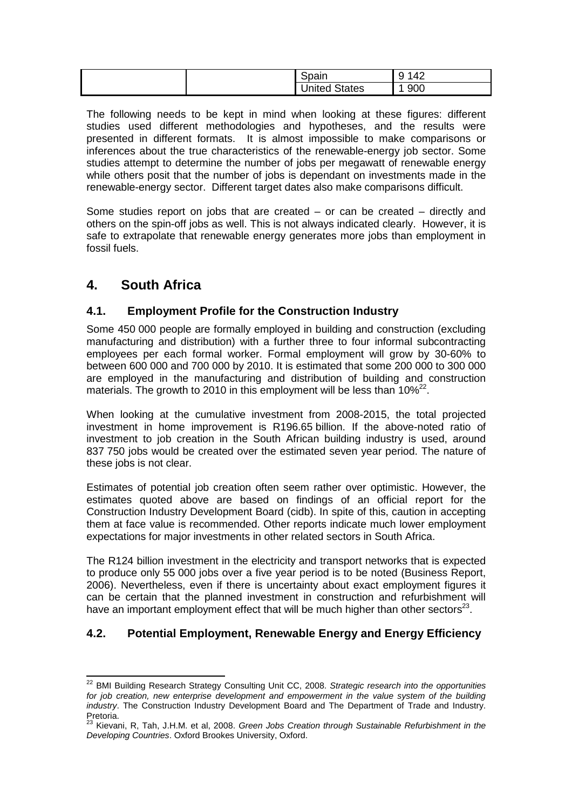| ~<br>Spain         | $\sqrt{2}$<br>и<br>$^{\prime}$ $\varDelta$<br>◡<br>− ∠ |  |
|--------------------|--------------------------------------------------------|--|
| ' States<br>United | 900                                                    |  |

The following needs to be kept in mind when looking at these figures: different studies used different methodologies and hypotheses, and the results were presented in different formats. It is almost impossible to make comparisons or inferences about the true characteristics of the renewable-energy job sector. Some studies attempt to determine the number of jobs per megawatt of renewable energy while others posit that the number of jobs is dependant on investments made in the renewable-energy sector. Different target dates also make comparisons difficult.

Some studies report on jobs that are created – or can be created – directly and others on the spin-off jobs as well. This is not always indicated clearly. However, it is safe to extrapolate that renewable energy generates more jobs than employment in fossil fuels.

### **4. South Africa**

 $\overline{\phantom{a}}$ 

#### **4.1. Employment Profile for the Construction Industry**

Some 450 000 people are formally employed in building and construction (excluding manufacturing and distribution) with a further three to four informal subcontracting employees per each formal worker. Formal employment will grow by 30-60% to between 600 000 and 700 000 by 2010. It is estimated that some 200 000 to 300 000 are employed in the manufacturing and distribution of building and construction materials. The growth to 2010 in this employment will be less than  $10\%^{22}$ .

When looking at the cumulative investment from 2008-2015, the total projected investment in home improvement is R196.65 billion. If the above-noted ratio of investment to job creation in the South African building industry is used, around 837 750 jobs would be created over the estimated seven year period. The nature of these jobs is not clear.

Estimates of potential job creation often seem rather over optimistic. However, the estimates quoted above are based on findings of an official report for the Construction Industry Development Board (cidb). In spite of this, caution in accepting them at face value is recommended. Other reports indicate much lower employment expectations for major investments in other related sectors in South Africa.

The R124 billion investment in the electricity and transport networks that is expected to produce only 55 000 jobs over a five year period is to be noted (Business Report, 2006). Nevertheless, even if there is uncertainty about exact employment figures it can be certain that the planned investment in construction and refurbishment will have an important employment effect that will be much higher than other sectors<sup>23</sup>.

#### **4.2. Potential Employment, Renewable Energy and Energy Efficiency**

 $22$  BMI Building Research Strategy Consulting Unit CC, 2008. Strategic research into the opportunities for job creation, new enterprise development and empowerment in the value system of the building industry. The Construction Industry Development Board and The Department of Trade and Industry. Pretoria.

<sup>&</sup>lt;sup>23</sup> Kievani, R, Tah, J.H.M. et al, 2008. Green Jobs Creation through Sustainable Refurbishment in the Developing Countries. Oxford Brookes University, Oxford.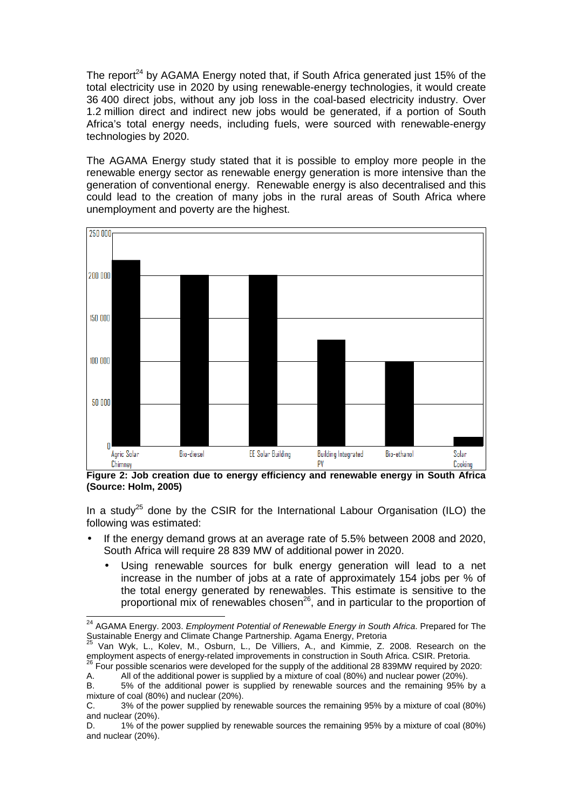The report<sup>24</sup> by AGAMA Energy noted that, if South Africa generated just 15% of the total electricity use in 2020 by using renewable-energy technologies, it would create 36 400 direct jobs, without any job loss in the coal-based electricity industry. Over 1.2 million direct and indirect new jobs would be generated, if a portion of South Africa's total energy needs, including fuels, were sourced with renewable-energy technologies by 2020.

The AGAMA Energy study stated that it is possible to employ more people in the renewable energy sector as renewable energy generation is more intensive than the generation of conventional energy. Renewable energy is also decentralised and this could lead to the creation of many jobs in the rural areas of South Africa where unemployment and poverty are the highest.



**Figure 2: Job creation due to energy efficiency and renewable energy in South Africa (Source: Holm, 2005)** 

In a study<sup>25</sup> done by the CSIR for the International Labour Organisation (ILO) the following was estimated:

- If the energy demand grows at an average rate of 5.5% between 2008 and 2020, South Africa will require 28 839 MW of additional power in 2020.
	- Using renewable sources for bulk energy generation will lead to a net increase in the number of jobs at a rate of approximately 154 jobs per % of the total energy generated by renewables. This estimate is sensitive to the proportional mix of renewables chosen<sup>26</sup>, and in particular to the proportion of

 $\overline{a}$ 

<sup>&</sup>lt;sup>24</sup> AGAMA Energy. 2003. Employment Potential of Renewable Energy in South Africa. Prepared for The Sustainable Energy and Climate Change Partnership. Agama Energy, Pretoria

 $25$  Van Wyk, L., Kolev, M., Osburn, L., De Villiers, A., and Kimmie, Z. 2008. Research on the employment aspects of energy-related improvements in construction in South Africa. CSIR. Pretoria.

 $26$  Four possible scenarios were developed for the supply of the additional 28 839MW required by 2020:

A. All of the additional power is supplied by a mixture of coal (80%) and nuclear power (20%).

B. 5% of the additional power is supplied by renewable sources and the remaining 95% by a mixture of coal (80%) and nuclear (20%).

C. 3% of the power supplied by renewable sources the remaining 95% by a mixture of coal (80%) and nuclear (20%).

D. 1% of the power supplied by renewable sources the remaining 95% by a mixture of coal (80%) and nuclear (20%).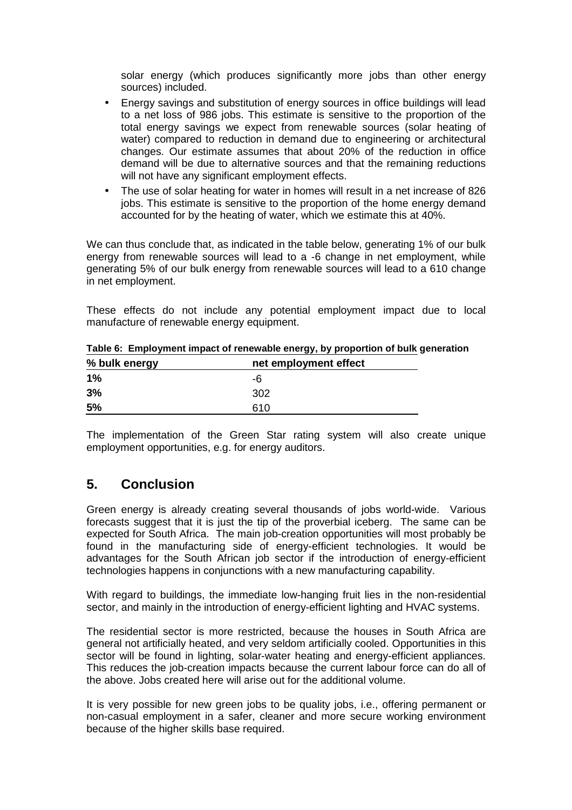solar energy (which produces significantly more jobs than other energy sources) included.

- Energy savings and substitution of energy sources in office buildings will lead to a net loss of 986 jobs. This estimate is sensitive to the proportion of the total energy savings we expect from renewable sources (solar heating of water) compared to reduction in demand due to engineering or architectural changes. Our estimate assumes that about 20% of the reduction in office demand will be due to alternative sources and that the remaining reductions will not have any significant employment effects.
- The use of solar heating for water in homes will result in a net increase of 826 jobs. This estimate is sensitive to the proportion of the home energy demand accounted for by the heating of water, which we estimate this at 40%.

We can thus conclude that, as indicated in the table below, generating 1% of our bulk energy from renewable sources will lead to a -6 change in net employment, while generating 5% of our bulk energy from renewable sources will lead to a 610 change in net employment.

These effects do not include any potential employment impact due to local manufacture of renewable energy equipment.

| % bulk energy | net employment effect |  |
|---------------|-----------------------|--|
| 1%            | -6                    |  |
| 3%            | 302                   |  |
| 5%            | 610                   |  |

**Table 6: Employment impact of renewable energy, by proportion of bulk generation** 

The implementation of the Green Star rating system will also create unique employment opportunities, e.g. for energy auditors.

### **5. Conclusion**

Green energy is already creating several thousands of jobs world-wide. Various forecasts suggest that it is just the tip of the proverbial iceberg. The same can be expected for South Africa. The main job-creation opportunities will most probably be found in the manufacturing side of energy-efficient technologies. It would be advantages for the South African job sector if the introduction of energy-efficient technologies happens in conjunctions with a new manufacturing capability.

With regard to buildings, the immediate low-hanging fruit lies in the non-residential sector, and mainly in the introduction of energy-efficient lighting and HVAC systems.

The residential sector is more restricted, because the houses in South Africa are general not artificially heated, and very seldom artificially cooled. Opportunities in this sector will be found in lighting, solar-water heating and energy-efficient appliances. This reduces the job-creation impacts because the current labour force can do all of the above. Jobs created here will arise out for the additional volume.

It is very possible for new green jobs to be quality jobs, i.e., offering permanent or non-casual employment in a safer, cleaner and more secure working environment because of the higher skills base required.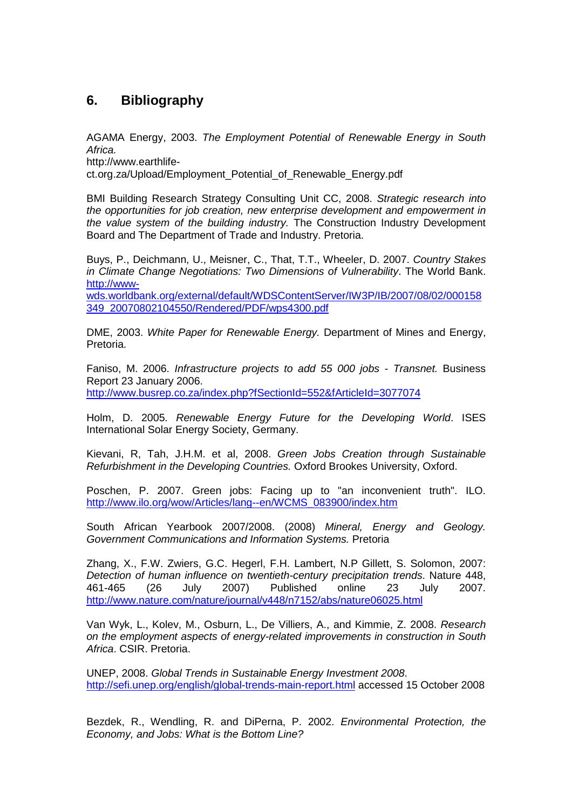### **6. Bibliography**

AGAMA Energy, 2003. The Employment Potential of Renewable Energy in South Africa.

http://www.earthlife-

ct.org.za/Upload/Employment\_Potential\_of\_Renewable\_Energy.pdf

BMI Building Research Strategy Consulting Unit CC, 2008. Strategic research into the opportunities for job creation, new enterprise development and empowerment in the value system of the building industry. The Construction Industry Development Board and The Department of Trade and Industry. Pretoria.

Buys, P., Deichmann, U., Meisner, C., That, T.T., Wheeler, D. 2007. Country Stakes in Climate Change Negotiations: Two Dimensions of Vulnerability. The World Bank. http://www-

wds.worldbank.org/external/default/WDSContentServer/IW3P/IB/2007/08/02/000158 349\_20070802104550/Rendered/PDF/wps4300.pdf

DME, 2003. White Paper for Renewable Energy. Department of Mines and Energy, Pretoria.

Faniso, M. 2006. Infrastructure projects to add 55 000 jobs - Transnet. Business Report 23 January 2006. http://www.busrep.co.za/index.php?fSectionId=552&fArticleId=3077074

Holm, D. 2005. Renewable Energy Future for the Developing World. ISES International Solar Energy Society, Germany.

Kievani, R, Tah, J.H.M. et al, 2008. Green Jobs Creation through Sustainable Refurbishment in the Developing Countries. Oxford Brookes University, Oxford.

Poschen, P. 2007. Green jobs: Facing up to "an inconvenient truth". ILO. http://www.ilo.org/wow/Articles/lang--en/WCMS\_083900/index.htm

South African Yearbook 2007/2008. (2008) Mineral, Energy and Geology. Government Communications and Information Systems. Pretoria

Zhang, X., F.W. Zwiers, G.C. Hegerl, F.H. Lambert, N.P Gillett, S. Solomon, 2007: Detection of human influence on twentieth-century precipitation trends. Nature 448, 461-465 (26 July 2007) Published online 23 July 2007. http://www.nature.com/nature/journal/v448/n7152/abs/nature06025.html

Van Wyk, L., Kolev, M., Osburn, L., De Villiers, A., and Kimmie, Z. 2008. Research on the employment aspects of energy-related improvements in construction in South Africa. CSIR. Pretoria.

UNEP, 2008. Global Trends in Sustainable Energy Investment 2008. http://sefi.unep.org/english/global-trends-main-report.html accessed 15 October 2008

Bezdek, R., Wendling, R. and DiPerna, P. 2002. Environmental Protection, the Economy, and Jobs: What is the Bottom Line?